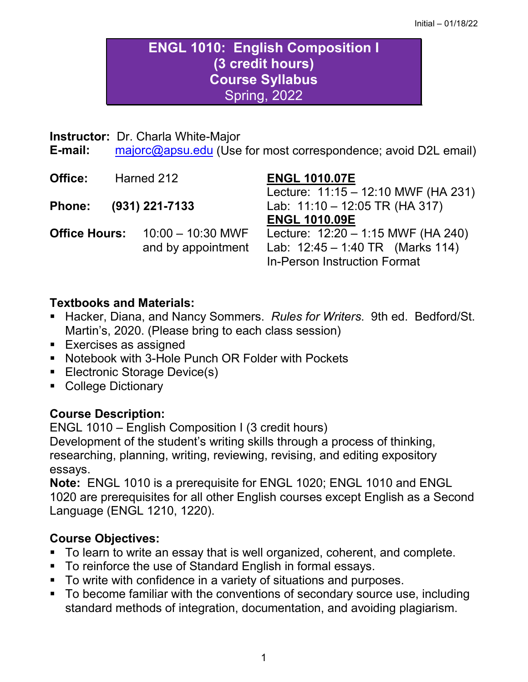# **ENGL 1010: English Composition I (3 credit hours) Course Syllabus** Spring, 2022

#### **Instructor:** Dr. Charla White-Major

**E-mail:** [majorc@apsu.edu](mailto:majorc@apsu.edu) (Use for most correspondence; avoid D2L email)

| Office:              | Harned 212 |                     | <b>ENGL 1010.07E</b>                       |  |
|----------------------|------------|---------------------|--------------------------------------------|--|
|                      |            |                     | Lecture: 11:15 - 12:10 MWF (HA 231)        |  |
| <b>Phone:</b>        |            | $(931)$ 221-7133    | Lab: $11:10 - 12:05 \text{ TR (HA 317)}$   |  |
|                      |            |                     | <b>ENGL 1010.09E</b>                       |  |
| <b>Office Hours:</b> |            | $10:00 - 10:30$ MWF | Lecture: $12:20 - 1:15$ MWF (HA 240)       |  |
|                      |            | and by appointment  | Lab: $12:45 - 1:40 \text{ TR}$ (Marks 114) |  |
|                      |            |                     | <b>In-Person Instruction Format</b>        |  |
|                      |            |                     |                                            |  |

## **Textbooks and Materials:**

- **Hacker, Diana, and Nancy Sommers.** *Rules for Writers***. 9th ed. Bedford/St.** Martin's, 2020. (Please bring to each class session)
- **Exercises as assigned**
- Notebook with 3-Hole Punch OR Folder with Pockets
- **Electronic Storage Device(s)**
- College Dictionary

### **Course Description:**

ENGL 1010 – English Composition I (3 credit hours) Development of the student's writing skills through a process of thinking, researching, planning, writing, reviewing, revising, and editing expository essays.

**Note:** ENGL 1010 is a prerequisite for ENGL 1020; ENGL 1010 and ENGL 1020 are prerequisites for all other English courses except English as a Second Language (ENGL 1210, 1220).

## **Course Objectives:**

- To learn to write an essay that is well organized, coherent, and complete.
- To reinforce the use of Standard English in formal essays.
- To write with confidence in a variety of situations and purposes.
- To become familiar with the conventions of secondary source use, including standard methods of integration, documentation, and avoiding plagiarism.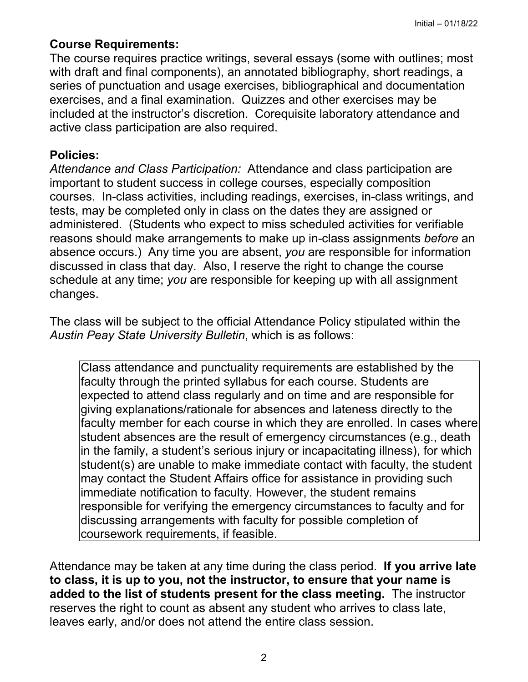## **Course Requirements:**

The course requires practice writings, several essays (some with outlines; most with draft and final components), an annotated bibliography, short readings, a series of punctuation and usage exercises, bibliographical and documentation exercises, and a final examination. Quizzes and other exercises may be included at the instructor's discretion. Corequisite laboratory attendance and active class participation are also required.

## **Policies:**

*Attendance and Class Participation:* Attendance and class participation are important to student success in college courses, especially composition courses. In-class activities, including readings, exercises, in-class writings, and tests, may be completed only in class on the dates they are assigned or administered. (Students who expect to miss scheduled activities for verifiable reasons should make arrangements to make up in-class assignments *before* an absence occurs.) Any time you are absent, *you* are responsible for information discussed in class that day. Also, I reserve the right to change the course schedule at any time; *you* are responsible for keeping up with all assignment changes.

The class will be subject to the official Attendance Policy stipulated within the *Austin Peay State University Bulletin*, which is as follows:

Class attendance and punctuality requirements are established by the faculty through the printed syllabus for each course. Students are expected to attend class regularly and on time and are responsible for giving explanations/rationale for absences and lateness directly to the faculty member for each course in which they are enrolled. In cases where student absences are the result of emergency circumstances (e.g., death in the family, a student's serious injury or incapacitating illness), for which student(s) are unable to make immediate contact with faculty, the student may contact the Student Affairs office for assistance in providing such immediate notification to faculty. However, the student remains responsible for verifying the emergency circumstances to faculty and for discussing arrangements with faculty for possible completion of coursework requirements, if feasible.

Attendance may be taken at any time during the class period. **If you arrive late to class, it is up to you, not the instructor, to ensure that your name is added to the list of students present for the class meeting.** The instructor reserves the right to count as absent any student who arrives to class late, leaves early, and/or does not attend the entire class session.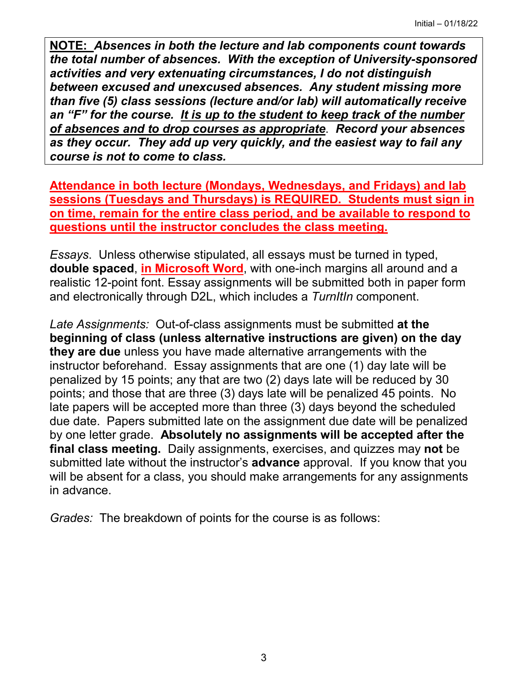**NOTE:** *Absences in both the lecture and lab components count towards the total number of absences. With the exception of University-sponsored activities and very extenuating circumstances, I do not distinguish between excused and unexcused absences. Any student missing more than five (5) class sessions (lecture and/or lab) will automatically receive an "F" for the course. It is up to the student to keep track of the number of absences and to drop courses as appropriate*. *Record your absences as they occur. They add up very quickly, and the easiest way to fail any course is not to come to class.*

**Attendance in both lecture (Mondays, Wednesdays, and Fridays) and lab sessions (Tuesdays and Thursdays) is REQUIRED. Students must sign in on time, remain for the entire class period, and be available to respond to questions until the instructor concludes the class meeting.** 

*Essays*. Unless otherwise stipulated, all essays must be turned in typed, **double spaced**, **in Microsoft Word**, with one-inch margins all around and a realistic 12-point font. Essay assignments will be submitted both in paper form and electronically through D2L, which includes a *TurnItIn* component.

*Late Assignments:* Out-of-class assignments must be submitted **at the beginning of class (unless alternative instructions are given) on the day they are due** unless you have made alternative arrangements with the instructor beforehand. Essay assignments that are one (1) day late will be penalized by 15 points; any that are two (2) days late will be reduced by 30 points; and those that are three (3) days late will be penalized 45 points. No late papers will be accepted more than three (3) days beyond the scheduled due date. Papers submitted late on the assignment due date will be penalized by one letter grade. **Absolutely no assignments will be accepted after the final class meeting.** Daily assignments, exercises, and quizzes may **not** be submitted late without the instructor's **advance** approval. If you know that you will be absent for a class, you should make arrangements for any assignments in advance.

*Grades:* The breakdown of points for the course is as follows: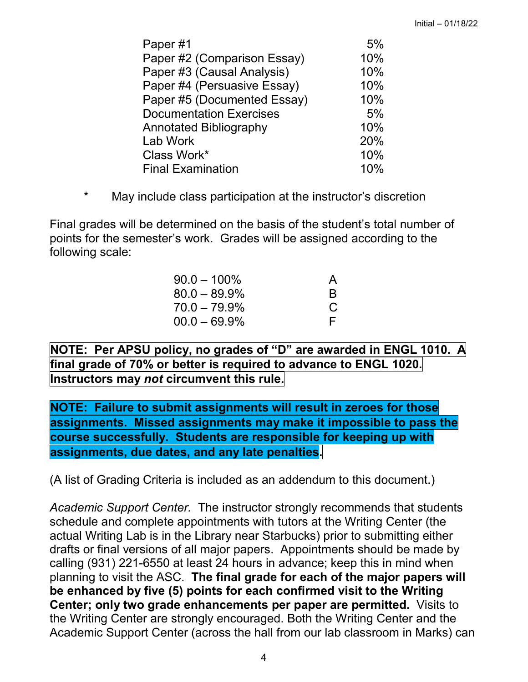| Paper#1                        | 5%  |
|--------------------------------|-----|
| Paper #2 (Comparison Essay)    | 10% |
| Paper #3 (Causal Analysis)     | 10% |
| Paper #4 (Persuasive Essay)    | 10% |
| Paper #5 (Documented Essay)    | 10% |
| <b>Documentation Exercises</b> | 5%  |
| <b>Annotated Bibliography</b>  | 10% |
| Lab Work                       | 20% |
| Class Work*                    | 10% |
| <b>Final Examination</b>       | 10% |

\* May include class participation at the instructor's discretion

Final grades will be determined on the basis of the student's total number of points for the semester's work. Grades will be assigned according to the following scale:

| $90.0 - 100\%$  | A            |
|-----------------|--------------|
| $80.0 - 89.9\%$ | <sub>R</sub> |
| $70.0 - 79.9\%$ | C            |
| $00.0 - 69.9\%$ | F.           |

**NOTE: Per APSU policy, no grades of "D" are awarded in ENGL 1010. A final grade of 70% or better is required to advance to ENGL 1020. Instructors may** *not* **circumvent this rule.**

**NOTE: Failure to submit assignments will result in zeroes for those assignments. Missed assignments may make it impossible to pass the course successfully. Students are responsible for keeping up with assignments, due dates, and any late penalties.**

(A list of Grading Criteria is included as an addendum to this document.)

*Academic Support Center.* The instructor strongly recommends that students schedule and complete appointments with tutors at the Writing Center (the actual Writing Lab is in the Library near Starbucks) prior to submitting either drafts or final versions of all major papers. Appointments should be made by calling (931) 221-6550 at least 24 hours in advance; keep this in mind when planning to visit the ASC. **The final grade for each of the major papers will be enhanced by five (5) points for each confirmed visit to the Writing Center; only two grade enhancements per paper are permitted.** Visits to the Writing Center are strongly encouraged. Both the Writing Center and the Academic Support Center (across the hall from our lab classroom in Marks) can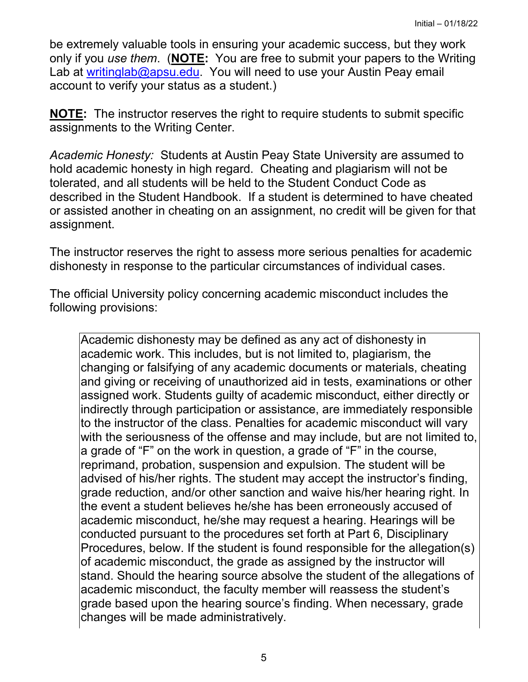be extremely valuable tools in ensuring your academic success, but they work only if you *use them*. (**NOTE:** You are free to submit your papers to the Writing Lab at [writinglab@apsu.edu.](mailto:writinglab@apsu.edu) You will need to use your Austin Peay email account to verify your status as a student.)

**NOTE:** The instructor reserves the right to require students to submit specific assignments to the Writing Center.

*Academic Honesty:* Students at Austin Peay State University are assumed to hold academic honesty in high regard. Cheating and plagiarism will not be tolerated, and all students will be held to the Student Conduct Code as described in the Student Handbook. If a student is determined to have cheated or assisted another in cheating on an assignment, no credit will be given for that assignment.

The instructor reserves the right to assess more serious penalties for academic dishonesty in response to the particular circumstances of individual cases.

The official University policy concerning academic misconduct includes the following provisions:

Academic dishonesty may be defined as any act of dishonesty in academic work. This includes, but is not limited to, plagiarism, the changing or falsifying of any academic documents or materials, cheating and giving or receiving of unauthorized aid in tests, examinations or other assigned work. Students guilty of academic misconduct, either directly or indirectly through participation or assistance, are immediately responsible to the instructor of the class. Penalties for academic misconduct will vary with the seriousness of the offense and may include, but are not limited to, a grade of "F" on the work in question, a grade of "F" in the course, reprimand, probation, suspension and expulsion. The student will be advised of his/her rights. The student may accept the instructor's finding, grade reduction, and/or other sanction and waive his/her hearing right. In the event a student believes he/she has been erroneously accused of academic misconduct, he/she may request a hearing. Hearings will be conducted pursuant to the procedures set forth at Part 6, Disciplinary Procedures, below. If the student is found responsible for the allegation(s) of academic misconduct, the grade as assigned by the instructor will stand. Should the hearing source absolve the student of the allegations of academic misconduct, the faculty member will reassess the student's grade based upon the hearing source's finding. When necessary, grade changes will be made administratively.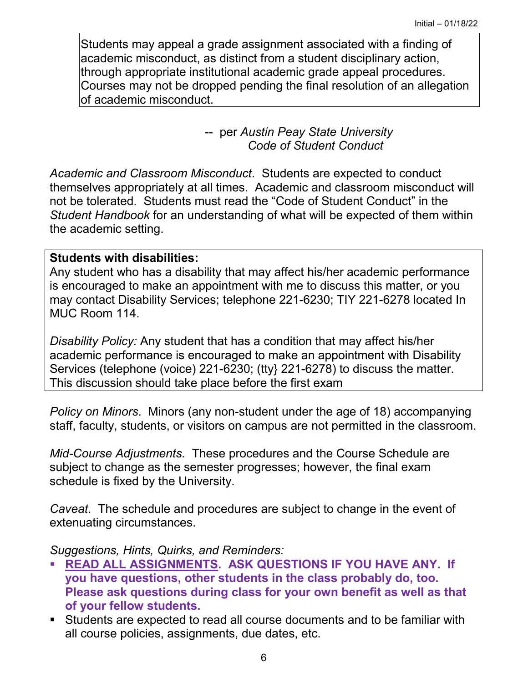Students may appeal a grade assignment associated with a finding of academic misconduct, as distinct from a student disciplinary action, through appropriate institutional academic grade appeal procedures. Courses may not be dropped pending the final resolution of an allegation of academic misconduct.

> -- per *Austin Peay State University Code of Student Conduct*

*Academic and Classroom Misconduct*. Students are expected to conduct themselves appropriately at all times. Academic and classroom misconduct will not be tolerated. Students must read the "Code of Student Conduct" in the *Student Handbook* for an understanding of what will be expected of them within the academic setting.

#### **Students with disabilities:**

Any student who has a disability that may affect his/her academic performance is encouraged to make an appointment with me to discuss this matter, or you may contact Disability Services; telephone 221-6230; TIY 221-6278 located In MUC Room 114.

*Disability Policy:* Any student that has a condition that may affect his/her academic performance is encouraged to make an appointment with Disability Services (telephone (voice) 221-6230; (tty} 221-6278) to discuss the matter. This discussion should take place before the first exam

*Policy on Minors*. Minors (any non-student under the age of 18) accompanying staff, faculty, students, or visitors on campus are not permitted in the classroom.

*Mid-Course Adjustments.* These procedures and the Course Schedule are subject to change as the semester progresses; however, the final exam schedule is fixed by the University.

*Caveat*. The schedule and procedures are subject to change in the event of extenuating circumstances.

*Suggestions, Hints, Quirks, and Reminders:*

- **READ ALL ASSIGNMENTS. ASK QUESTIONS IF YOU HAVE ANY. If you have questions, other students in the class probably do, too. Please ask questions during class for your own benefit as well as that of your fellow students.**
- Students are expected to read all course documents and to be familiar with all course policies, assignments, due dates, etc.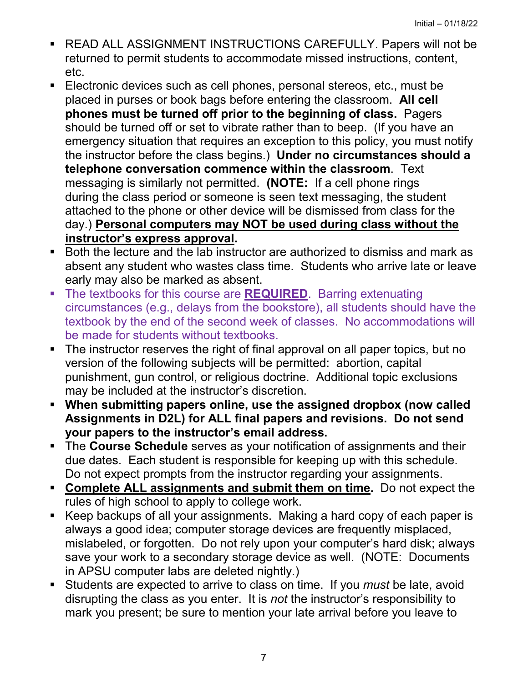- READ ALL ASSIGNMENT INSTRUCTIONS CAREFULLY. Papers will not be returned to permit students to accommodate missed instructions, content, etc.
- **Electronic devices such as cell phones, personal stereos, etc., must be** placed in purses or book bags before entering the classroom. **All cell phones must be turned off prior to the beginning of class.** Pagers should be turned off or set to vibrate rather than to beep. (If you have an emergency situation that requires an exception to this policy, you must notify the instructor before the class begins.) **Under no circumstances should a telephone conversation commence within the classroom**. Text messaging is similarly not permitted. **(NOTE:** If a cell phone rings during the class period or someone is seen text messaging, the student attached to the phone or other device will be dismissed from class for the day.) **Personal computers may NOT be used during class without the instructor's express approval.**
- Both the lecture and the lab instructor are authorized to dismiss and mark as absent any student who wastes class time. Students who arrive late or leave early may also be marked as absent.
- **The textbooks for this course are REQUIRED.** Barring extenuating circumstances (e.g., delays from the bookstore), all students should have the textbook by the end of the second week of classes. No accommodations will be made for students without textbooks.
- The instructor reserves the right of final approval on all paper topics, but no version of the following subjects will be permitted: abortion, capital punishment, gun control, or religious doctrine. Additional topic exclusions may be included at the instructor's discretion.
- **When submitting papers online, use the assigned dropbox (now called Assignments in D2L) for ALL final papers and revisions. Do not send your papers to the instructor's email address.**
- The **Course Schedule** serves as your notification of assignments and their due dates. Each student is responsible for keeping up with this schedule. Do not expect prompts from the instructor regarding your assignments.
- **Complete ALL assignments and submit them on time.** Do not expect the rules of high school to apply to college work.
- Keep backups of all your assignments. Making a hard copy of each paper is always a good idea; computer storage devices are frequently misplaced, mislabeled, or forgotten. Do not rely upon your computer's hard disk; always save your work to a secondary storage device as well. (NOTE: Documents in APSU computer labs are deleted nightly.)
- Students are expected to arrive to class on time. If you *must* be late, avoid disrupting the class as you enter. It is *not* the instructor's responsibility to mark you present; be sure to mention your late arrival before you leave to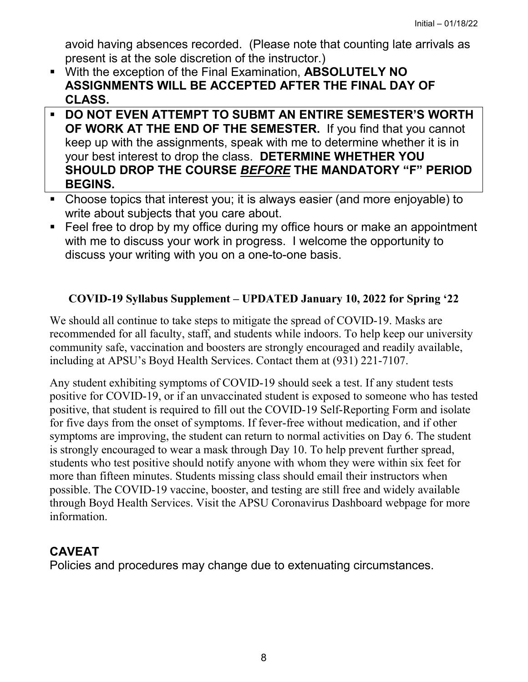avoid having absences recorded. (Please note that counting late arrivals as present is at the sole discretion of the instructor.)

- With the exception of the Final Examination, **ABSOLUTELY NO ASSIGNMENTS WILL BE ACCEPTED AFTER THE FINAL DAY OF CLASS.**
- **DO NOT EVEN ATTEMPT TO SUBMT AN ENTIRE SEMESTER'S WORTH OF WORK AT THE END OF THE SEMESTER.** If you find that you cannot keep up with the assignments, speak with me to determine whether it is in your best interest to drop the class. **DETERMINE WHETHER YOU SHOULD DROP THE COURSE** *BEFORE* **THE MANDATORY "F" PERIOD BEGINS.**
- Choose topics that interest you; it is always easier (and more enjoyable) to write about subjects that you care about.
- **Feel free to drop by my office during my office hours or make an appointment** with me to discuss your work in progress. I welcome the opportunity to discuss your writing with you on a one-to-one basis.

## **COVID-19 Syllabus Supplement – UPDATED January 10, 2022 for Spring '22**

We should all continue to take steps to mitigate the spread of COVID-19. Masks are recommended for all faculty, staff, and students while indoors. To help keep our university community safe, vaccination and boosters are strongly encouraged and readily available, including at APSU's Boyd Health Services. Contact them at (931) 221-7107.

Any student exhibiting symptoms of COVID-19 should seek a test. If any student tests positive for COVID-19, or if an unvaccinated student is exposed to someone who has tested positive, that student is required to fill out the COVID-19 Self-Reporting Form and isolate for five days from the onset of symptoms. If fever-free without medication, and if other symptoms are improving, the student can return to normal activities on Day 6. The student is strongly encouraged to wear a mask through Day 10. To help prevent further spread, students who test positive should notify anyone with whom they were within six feet for more than fifteen minutes. Students missing class should email their instructors when possible. The COVID-19 vaccine, booster, and testing are still free and widely available through Boyd Health Services. Visit the APSU Coronavirus Dashboard webpage for more information.

## **CAVEAT**

Policies and procedures may change due to extenuating circumstances.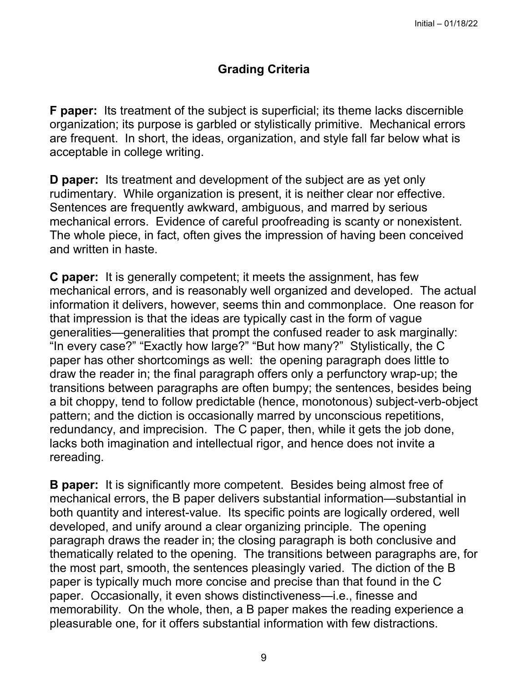## **Grading Criteria**

**F paper:** Its treatment of the subject is superficial; its theme lacks discernible organization; its purpose is garbled or stylistically primitive. Mechanical errors are frequent. In short, the ideas, organization, and style fall far below what is acceptable in college writing.

**D** paper: Its treatment and development of the subject are as yet only rudimentary. While organization is present, it is neither clear nor effective. Sentences are frequently awkward, ambiguous, and marred by serious mechanical errors. Evidence of careful proofreading is scanty or nonexistent. The whole piece, in fact, often gives the impression of having been conceived and written in haste.

**C paper:** It is generally competent; it meets the assignment, has few mechanical errors, and is reasonably well organized and developed. The actual information it delivers, however, seems thin and commonplace. One reason for that impression is that the ideas are typically cast in the form of vague generalities—generalities that prompt the confused reader to ask marginally: "In every case?" "Exactly how large?" "But how many?" Stylistically, the C paper has other shortcomings as well: the opening paragraph does little to draw the reader in; the final paragraph offers only a perfunctory wrap-up; the transitions between paragraphs are often bumpy; the sentences, besides being a bit choppy, tend to follow predictable (hence, monotonous) subject-verb-object pattern; and the diction is occasionally marred by unconscious repetitions, redundancy, and imprecision. The C paper, then, while it gets the job done, lacks both imagination and intellectual rigor, and hence does not invite a rereading.

**B paper:** It is significantly more competent. Besides being almost free of mechanical errors, the B paper delivers substantial information—substantial in both quantity and interest-value. Its specific points are logically ordered, well developed, and unify around a clear organizing principle. The opening paragraph draws the reader in; the closing paragraph is both conclusive and thematically related to the opening. The transitions between paragraphs are, for the most part, smooth, the sentences pleasingly varied. The diction of the B paper is typically much more concise and precise than that found in the C paper. Occasionally, it even shows distinctiveness—i.e., finesse and memorability. On the whole, then, a B paper makes the reading experience a pleasurable one, for it offers substantial information with few distractions.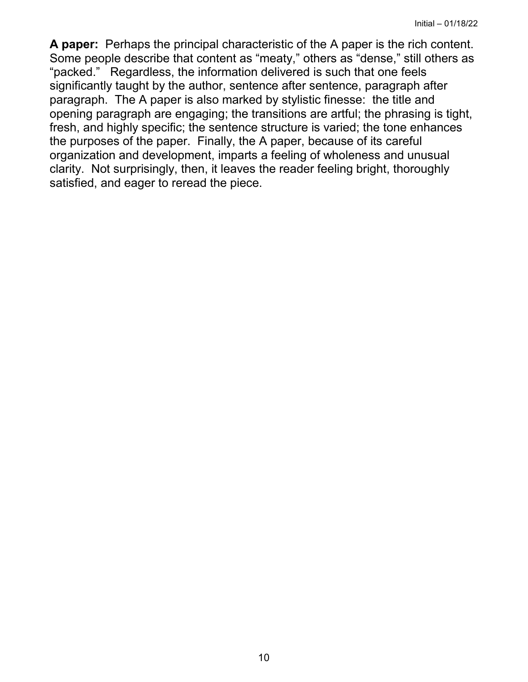**A paper:** Perhaps the principal characteristic of the A paper is the rich content. Some people describe that content as "meaty," others as "dense," still others as "packed." Regardless, the information delivered is such that one feels significantly taught by the author, sentence after sentence, paragraph after paragraph. The A paper is also marked by stylistic finesse: the title and opening paragraph are engaging; the transitions are artful; the phrasing is tight, fresh, and highly specific; the sentence structure is varied; the tone enhances the purposes of the paper. Finally, the A paper, because of its careful organization and development, imparts a feeling of wholeness and unusual clarity. Not surprisingly, then, it leaves the reader feeling bright, thoroughly satisfied, and eager to reread the piece.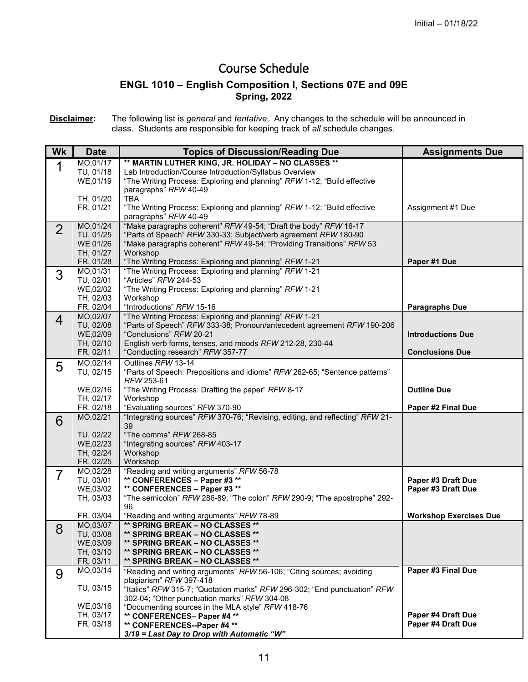## Course Schedule

#### **ENGL 1010 – English Composition I, Sections 07E and 09E Spring, 2022**

**Disclaimer:** The following list is *general* and *tentative*. Any changes to the schedule will be announced in class. Students are responsible for keeping track of *all* schedule changes.

| Wk             | <b>Date</b>            | <b>Topics of Discussion/Reading Due</b>                                                                                             | <b>Assignments Due</b>                          |
|----------------|------------------------|-------------------------------------------------------------------------------------------------------------------------------------|-------------------------------------------------|
|                | MO,01/17               | ** MARTIN LUTHER KING, JR. HOLIDAY - NO CLASSES **                                                                                  |                                                 |
|                | TU, 01/18              | Lab Introduction/Course Introduction/Syllabus Overview                                                                              |                                                 |
|                | WE,01/19               | "The Writing Process: Exploring and planning" RFW 1-12; "Build effective<br>paragraphs" RFW 40-49                                   |                                                 |
|                | TH, 01/20              | <b>TBA</b>                                                                                                                          |                                                 |
|                | FR, 01/21              | "The Writing Process: Exploring and planning" RFW 1-12; "Build effective                                                            | Assignment #1 Due                               |
|                |                        | paragraphs" RFW 40-49                                                                                                               |                                                 |
| $\overline{2}$ | MO,01/24               | "Make paragraphs coherent" RFW 49-54; "Draft the body" RFW 16-17<br>"Parts of Speech" RFW 330-33; Subject/verb agreement RFW 180-90 |                                                 |
|                | TU, 01/25<br>WE 01/26  | "Make paragraphs coherent" RFW 49-54; "Providing Transitions" RFW 53                                                                |                                                 |
|                | TH, 01/27              | Workshop                                                                                                                            |                                                 |
|                | FR, 01/28              | "The Writing Process: Exploring and planning" RFW 1-21                                                                              | Paper #1 Due                                    |
| 3              | MO,01/31               | "The Writing Process: Exploring and planning" RFW 1-21                                                                              |                                                 |
|                | TU, 02/01              | "Articles" RFW 244-53                                                                                                               |                                                 |
|                | WE,02/02<br>TH, 02/03  | "The Writing Process: Exploring and planning" RFW 1-21<br>Workshop                                                                  |                                                 |
|                | FR, 02/04              | "Introductions" RFW 15-16                                                                                                           | <b>Paragraphs Due</b>                           |
| 4              | MO,02/07               | "The Writing Process: Exploring and planning" RFW 1-21                                                                              |                                                 |
|                | TU, 02/08              | "Parts of Speech" RFW 333-38; Pronoun/antecedent agreement RFW 190-206                                                              |                                                 |
|                | WE,02/09               | "Conclusions" RFW 20-21                                                                                                             | <b>Introductions Due</b>                        |
|                | TH, 02/10<br>FR, 02/11 | English verb forms, tenses, and moods RFW 212-28, 230-44<br>"Conducting research" RFW 357-77                                        | <b>Conclusions Due</b>                          |
|                | MO,02/14               | Outlines RFW 13-14                                                                                                                  |                                                 |
| 5              | TU, 02/15              | "Parts of Speech: Prepositions and idioms" RFW 262-65; "Sentence patterns"                                                          |                                                 |
|                |                        | RFW 253-61                                                                                                                          |                                                 |
|                | WE,02/16               | "The Writing Process: Drafting the paper" RFW 8-17                                                                                  | <b>Outline Due</b>                              |
|                | TH, 02/17              | Workshop                                                                                                                            |                                                 |
|                | FR, 02/18<br>MO,02/21  | "Evaluating sources" RFW 370-90<br>"Integrating sources" RFW 370-76; "Revising, editing, and reflecting" RFW 21-                    | Paper #2 Final Due                              |
| 6              |                        | 39                                                                                                                                  |                                                 |
|                | TU, 02/22              | "The comma" RFW 268-85                                                                                                              |                                                 |
|                | WE,02/23               | "Integrating sources" RFW 403-17                                                                                                    |                                                 |
|                | TH, 02/24<br>FR, 02/25 | Workshop<br>Workshop                                                                                                                |                                                 |
|                | MO,02/28               | "Reading and writing arguments" RFW 56-78                                                                                           |                                                 |
| 7              | TU, 03/01              | ** CONFERENCES - Paper #3 **                                                                                                        | Paper #3 Draft Due                              |
|                | WE,03/02               | ** CONFERENCES - Paper #3 **                                                                                                        | Paper #3 Draft Due                              |
|                | TH, 03/03              | "The semicolon" RFW 286-89; "The colon" RFW 290-9; "The apostrophe" 292-                                                            |                                                 |
|                | FR, 03/04              | 96<br>"Reading and writing arguments" RFW 78-89                                                                                     | <b>Workshop Exercises Due</b>                   |
|                | MO,03/07               | <b>** SPRING BREAK - NO CLASSES **</b>                                                                                              |                                                 |
| 8              | TU, 03/08              | ** SPRING BREAK - NO CLASSES **                                                                                                     |                                                 |
|                | WE,03/09               | ** SPRING BREAK - NO CLASSES **                                                                                                     |                                                 |
|                | TH, 03/10              | ** SPRING BREAK – NO CLASSES **                                                                                                     |                                                 |
|                | FR, 03/11<br>MO,03/14  | ** SPRING BREAK - NO CLASSES **<br>"Reading and writing arguments" RFW 56-106; "Citing sources; avoiding                            | Paper #3 Final Due                              |
| 9              |                        | plagiarism" RFW 397-418                                                                                                             |                                                 |
|                | TU, 03/15              | "Italics" RFW 315-7; "Quotation marks" RFW 296-302; "End punctuation" RFW                                                           |                                                 |
|                |                        | 302-04; "Other punctuation marks" RFW 304-08                                                                                        |                                                 |
|                | WE,03/16               | "Documenting sources in the MLA style" RFW 418-76                                                                                   |                                                 |
|                | TH, 03/17<br>FR, 03/18 | ** CONFERENCES- Paper #4 **<br>** CONFERENCES--Paper #4 **                                                                          | Paper #4 Draft Due<br><b>Paper #4 Draft Due</b> |
|                |                        | 3/19 = Last Day to Drop with Automatic "W"                                                                                          |                                                 |